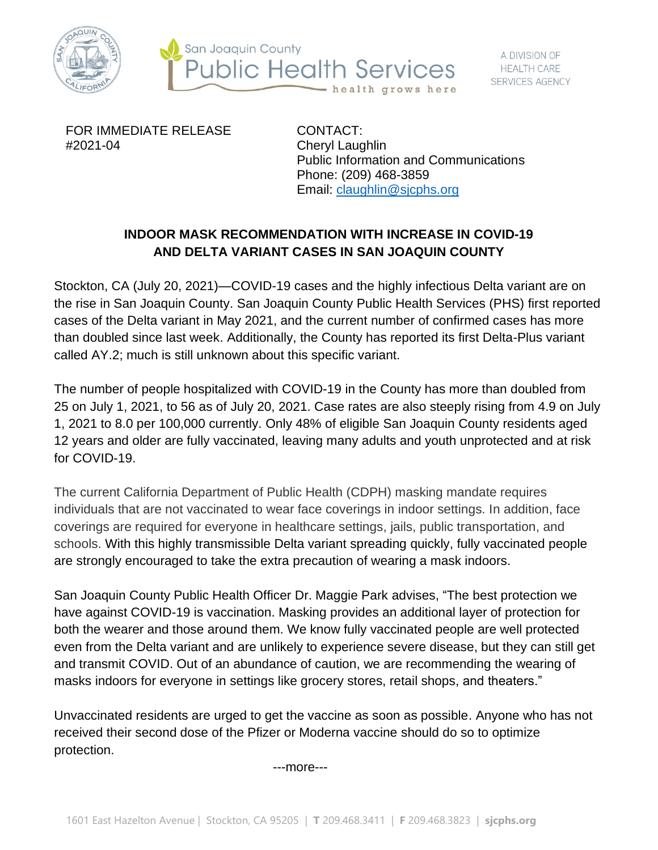



FOR IMMEDIATE RELEASE #2021-04

CONTACT: Cheryl Laughlin Public Information and Communications Phone: (209) 468-3859 Email: [claughlin@sjcphs.org](mailto:claughlin@sjcphs.org)

## **INDOOR MASK RECOMMENDATION WITH INCREASE IN COVID-19 AND DELTA VARIANT CASES IN SAN JOAQUIN COUNTY**

Stockton, CA (July 20, 2021)—COVID-19 cases and the highly infectious Delta variant are on the rise in San Joaquin County. San Joaquin County Public Health Services (PHS) first reported cases of the Delta variant in May 2021, and the current number of confirmed cases has more than doubled since last week. Additionally, the County has reported its first Delta-Plus variant called AY.2; much is still unknown about this specific variant.

The number of people hospitalized with COVID-19 in the County has more than doubled from 25 on July 1, 2021, to 56 as of July 20, 2021. Case rates are also steeply rising from 4.9 on July 1, 2021 to 8.0 per 100,000 currently. Only 48% of eligible San Joaquin County residents aged 12 years and older are fully vaccinated, leaving many adults and youth unprotected and at risk for COVID-19.

The current California Department of Public Health (CDPH) masking mandate requires individuals that are not vaccinated to wear face coverings in indoor settings. In addition, face coverings are required for everyone in healthcare settings, jails, public transportation, and schools. With this highly transmissible Delta variant spreading quickly, fully vaccinated people are strongly encouraged to take the extra precaution of wearing a mask indoors.

San Joaquin County Public Health Officer Dr. Maggie Park advises, "The best protection we have against COVID-19 is vaccination. Masking provides an additional layer of protection for both the wearer and those around them. We know fully vaccinated people are well protected even from the Delta variant and are unlikely to experience severe disease, but they can still get and transmit COVID. Out of an abundance of caution, we are recommending the wearing of masks indoors for everyone in settings like grocery stores, retail shops, and theaters."

Unvaccinated residents are urged to get the vaccine as soon as possible. Anyone who has not received their second dose of the Pfizer or Moderna vaccine should do so to optimize protection.

---more---